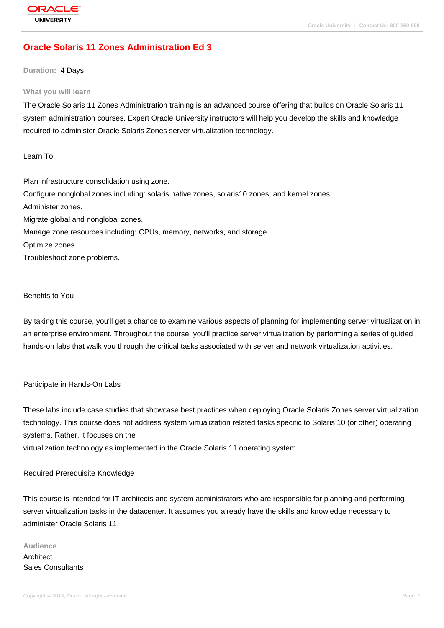# **[Oracle Solaris](http://education.oracle.com/pls/web_prod-plq-dad/db_pages.getpage?page_id=3) 11 Zones Administration Ed 3**

#### **Duration:** 4 Days

#### **What you will learn**

The Oracle Solaris 11 Zones Administration training is an advanced course offering that builds on Oracle Solaris 11 system administration courses. Expert Oracle University instructors will help you develop the skills and knowledge required to administer Oracle Solaris Zones server virtualization technology.

Learn To:

Plan infrastructure consolidation using zone. Configure nonglobal zones including: solaris native zones, solaris10 zones, and kernel zones. Administer zones. Migrate global and nonglobal zones. Manage zone resources including: CPUs, memory, networks, and storage. Optimize zones. Troubleshoot zone problems.

#### Benefits to You

By taking this course, you'll get a chance to examine various aspects of planning for implementing server virtualization in an enterprise environment. Throughout the course, you'll practice server virtualization by performing a series of guided hands-on labs that walk you through the critical tasks associated with server and network virtualization activities.

#### Participate in Hands-On Labs

These labs include case studies that showcase best practices when deploying Oracle Solaris Zones server virtualization technology. This course does not address system virtualization related tasks specific to Solaris 10 (or other) operating systems. Rather, it focuses on the

virtualization technology as implemented in the Oracle Solaris 11 operating system.

#### Required Prerequisite Knowledge

This course is intended for IT architects and system administrators who are responsible for planning and performing server virtualization tasks in the datacenter. It assumes you already have the skills and knowledge necessary to administer Oracle Solaris 11.

#### **Audience**

**Architect** Sales Consultants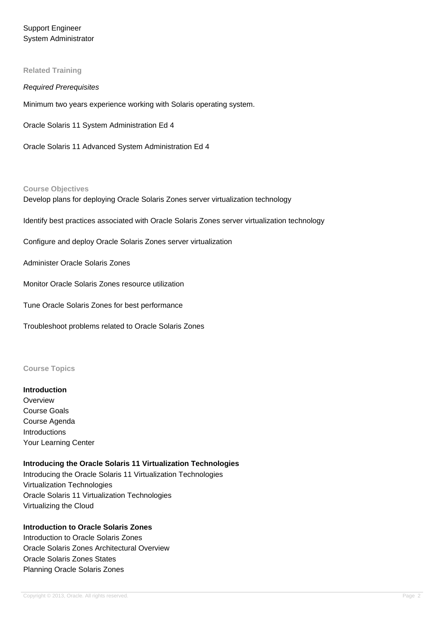Support Engineer System Administrator

#### **Related Training**

#### Required Prerequisites

Minimum two years experience working with Solaris operating system.

Oracle Solaris 11 System Administration Ed 4

Oracle Solaris 11 Advanced System Administration Ed 4

#### **Course Objectives**

Develop plans for deploying Oracle Solaris Zones server virtualization technology

Identify best practices associated with Oracle Solaris Zones server virtualization technology

Configure and deploy Oracle Solaris Zones server virtualization

Administer Oracle Solaris Zones

Monitor Oracle Solaris Zones resource utilization

Tune Oracle Solaris Zones for best performance

Troubleshoot problems related to Oracle Solaris Zones

#### **Course Topics**

#### **Introduction**

**Overview** Course Goals Course Agenda Introductions Your Learning Center

#### **Introducing the Oracle Solaris 11 Virtualization Technologies**

Introducing the Oracle Solaris 11 Virtualization Technologies Virtualization Technologies Oracle Solaris 11 Virtualization Technologies Virtualizing the Cloud

# **Introduction to Oracle Solaris Zones** Introduction to Oracle Solaris Zones Oracle Solaris Zones Architectural Overview Oracle Solaris Zones States Planning Oracle Solaris Zones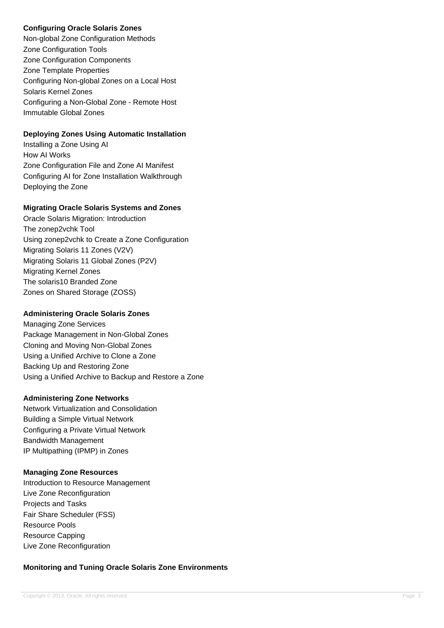# **Configuring Oracle Solaris Zones**

Non-global Zone Configuration Methods Zone Configuration Tools Zone Configuration Components Zone Template Properties Configuring Non-global Zones on a Local Host Solaris Kernel Zones Configuring a Non-Global Zone - Remote Host Immutable Global Zones

## **Deploying Zones Using Automatic Installation**

Installing a Zone Using AI How AI Works Zone Configuration File and Zone AI Manifest Configuring AI for Zone Installation Walkthrough Deploying the Zone

### **Migrating Oracle Solaris Systems and Zones**

Oracle Solaris Migration: Introduction The zonep2vchk Tool Using zonep2vchk to Create a Zone Configuration Migrating Solaris 11 Zones (V2V) Migrating Solaris 11 Global Zones (P2V) Migrating Kernel Zones The solaris10 Branded Zone Zones on Shared Storage (ZOSS)

### **Administering Oracle Solaris Zones**

Managing Zone Services Package Management in Non-Global Zones Cloning and Moving Non-Global Zones Using a Unified Archive to Clone a Zone Backing Up and Restoring Zone Using a Unified Archive to Backup and Restore a Zone

### **Administering Zone Networks**

Network Virtualization and Consolidation Building a Simple Virtual Network Configuring a Private Virtual Network Bandwidth Management IP Multipathing (IPMP) in Zones

### **Managing Zone Resources**

Introduction to Resource Management Live Zone Reconfiguration Projects and Tasks Fair Share Scheduler (FSS) Resource Pools Resource Capping Live Zone Reconfiguration

# **Monitoring and Tuning Oracle Solaris Zone Environments**